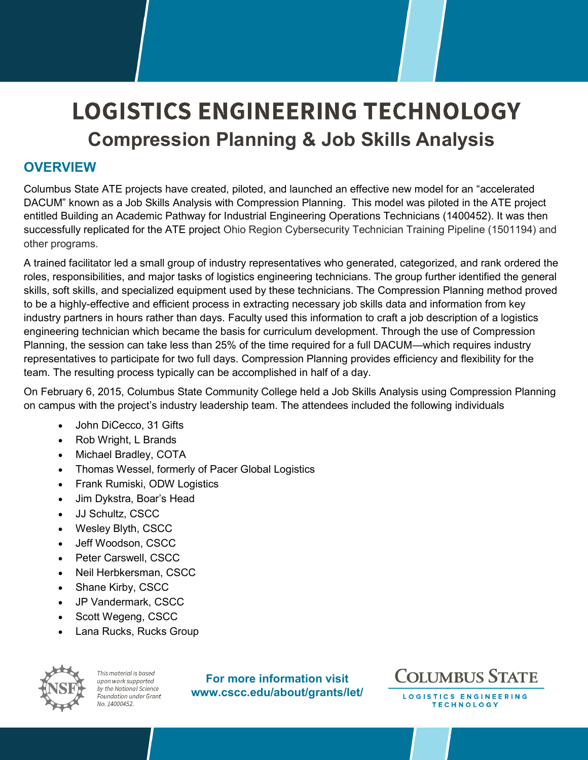# **LOGISTICS ENGINEERING TECHNOLOGY Compression Planning & Job Skills Analysis**

### **OVERVIEW**

Columbus State ATE projects have created, piloted, and launched an effective new model for an "accelerated DACUM" known as a Job Skills Analysis with Compression Planning. This model was piloted in the ATE project entitled Building an Academic Pathway for Industrial Engineering Operations Technicians (1400452). It was then successfully replicated for the ATE project Ohio Region Cybersecurity Technician Training Pipeline (1501194) and other programs.

A trained facilitator led a small group of industry representatives who generated, categorized, and rank ordered the roles, responsibilities, and major tasks of logistics engineering technicians. The group further identified the general skills, soft skills, and specialized equipment used by these technicians. The Compression Planning method proved to be a highly-effective and efficient process in extracting necessary job skills data and information from key industry partners in hours rather than days. Faculty used this information to craft a job description of a logistics engineering technician which became the basis for curriculum development. Through the use of Compression Planning, the session can take less than 25% of the time required for a full DACUM—which requires industry representatives to participate for two full days. Compression Planning provides efficiency and flexibility for the team. The resulting process typically can be accomplished in half of a day.

On February 6, 2015, Columbus State Community College held a Job Skills Analysis using Compression Planning on campus with the project's industry leadership team. The attendees included the following individuals

- John DiCecco, 31 Gifts
- Rob Wright, L Brands
- Michael Bradley, COTA
- Thomas Wessel, formerly of Pacer Global Logistics
- Frank Rumiski, ODW Logistics
- Jim Dykstra, Boar's Head
- JJ Schultz, CSCC
- Wesley Blyth, CSCC
- Jeff Woodson, CSCC
- Peter Carswell, CSCC
- Neil Herbkersman, CSCC
- Shane Kirby, CSCC
- JP Vandermark, CSCC
- Scott Wegeng, CSCC
- Lana Rucks, Rucks Group



This material is based upon work supported by the National Science Foundation under Grant No. 14000452.

**For more information visit www.cscc.edu/about/grants/let/**



LOGISTICS ENGINEERING **TECHNOLOGY**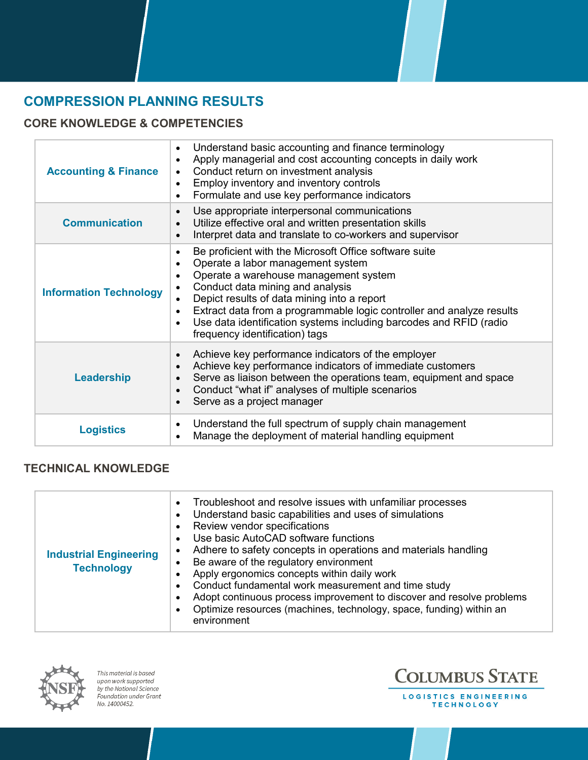## **COMPRESSION PLANNING RESULTS**

#### **CORE KNOWLEDGE & COMPETENCIES**

| <b>Accounting &amp; Finance</b> | Understand basic accounting and finance terminology<br>$\bullet$<br>Apply managerial and cost accounting concepts in daily work<br>Conduct return on investment analysis<br>$\bullet$<br>Employ inventory and inventory controls<br>$\bullet$<br>Formulate and use key performance indicators<br>$\bullet$                                                                                                                         |
|---------------------------------|------------------------------------------------------------------------------------------------------------------------------------------------------------------------------------------------------------------------------------------------------------------------------------------------------------------------------------------------------------------------------------------------------------------------------------|
| <b>Communication</b>            | Use appropriate interpersonal communications<br>$\bullet$<br>Utilize effective oral and written presentation skills<br>$\bullet$<br>Interpret data and translate to co-workers and supervisor<br>$\bullet$                                                                                                                                                                                                                         |
| <b>Information Technology</b>   | Be proficient with the Microsoft Office software suite<br>$\bullet$<br>Operate a labor management system<br>$\bullet$<br>Operate a warehouse management system<br>Conduct data mining and analysis<br>Depict results of data mining into a report<br>Extract data from a programmable logic controller and analyze results<br>Use data identification systems including barcodes and RFID (radio<br>frequency identification) tags |
| Leadership                      | Achieve key performance indicators of the employer<br>$\bullet$<br>Achieve key performance indicators of immediate customers<br>Serve as liaison between the operations team, equipment and space<br>Conduct "what if" analyses of multiple scenarios<br>Serve as a project manager                                                                                                                                                |
| <b>Logistics</b>                | Understand the full spectrum of supply chain management<br>$\bullet$<br>Manage the deployment of material handling equipment<br>$\bullet$                                                                                                                                                                                                                                                                                          |

#### **TECHNICAL KNOWLEDGE**

| <b>Industrial Engineering</b><br><b>Technology</b> | • Troubleshoot and resolve issues with unfamiliar processes<br>Understand basic capabilities and uses of simulations<br>Review vendor specifications<br>Use basic AutoCAD software functions<br>Adhere to safety concepts in operations and materials handling<br>Be aware of the regulatory environment<br>Apply ergonomics concepts within daily work<br>Conduct fundamental work measurement and time study<br>Adopt continuous process improvement to discover and resolve problems<br>Optimize resources (machines, technology, space, funding) within an<br>environment |
|----------------------------------------------------|-------------------------------------------------------------------------------------------------------------------------------------------------------------------------------------------------------------------------------------------------------------------------------------------------------------------------------------------------------------------------------------------------------------------------------------------------------------------------------------------------------------------------------------------------------------------------------|



This material is based upon work supported by the National Science Foundation under Grant No. 14000452.